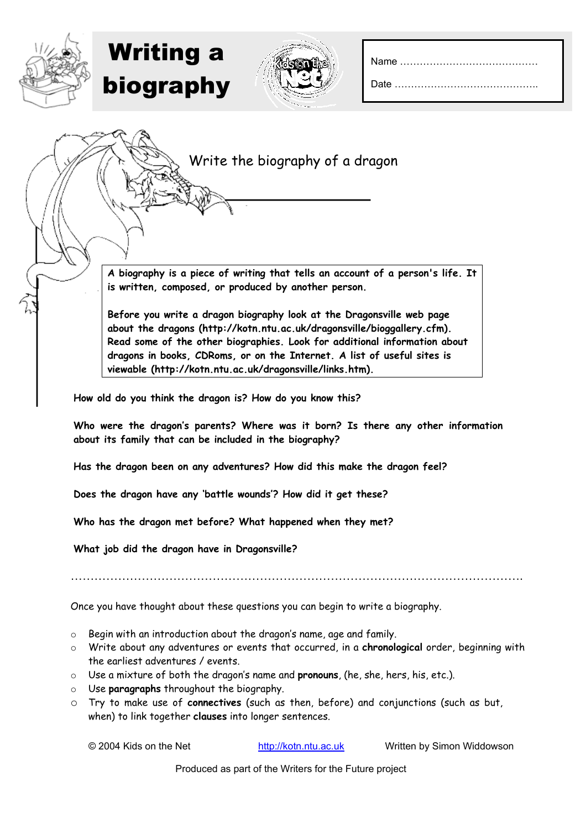Write the biography of a dragon

**A biography is a piece of writing that tells an account of a person's life. It is written, composed, or produced by another person.** 

**Before you write a dragon biography look at the Dragonsville web page about the dragons (http://kotn.ntu.ac.uk/dragonsville/bioggallery.cfm). Read some of the other biographies. Look for additional information about dragons in books, CDRoms, or on the Internet. A list of useful sites is viewable (http://kotn.ntu.ac.uk/dragonsville/links.htm).**

**How old do you think the dragon is? How do you know this?** 

**Who were the dragon's parents? Where was it born? Is there any other information about its family that can be included in the biography?** 

**Has the dragon been on any adventures? How did this make the dragon feel?** 

**Does the dragon have any 'battle wounds'? How did it get these?**

**Who has the dragon met before? What happened when they met?**

**What job did the dragon have in Dragonsville?**

Writing a

biography

…………………………………………………………………………………………………….

Once you have thought about these questions you can begin to write a biography.

- o Begin with an introduction about the dragon's name, age and family.
- o Write about any adventures or events that occurred, in a **chronological** order, beginning with the earliest adventures / events.
- o Use a mixture of both the dragon's name and **pronouns**, (he, she, hers, his, etc.).
- o Use **paragraphs** throughout the biography.
- o Try to make use of **connectives** (such as then, before) and conjunctions (such as but, when) to link together **clauses** into longer sentences.

© 2004 Kids on the Net http://kotn.ntu.ac.uk Written by Simon Widdowson

Produced as part of the Writers for the Future project